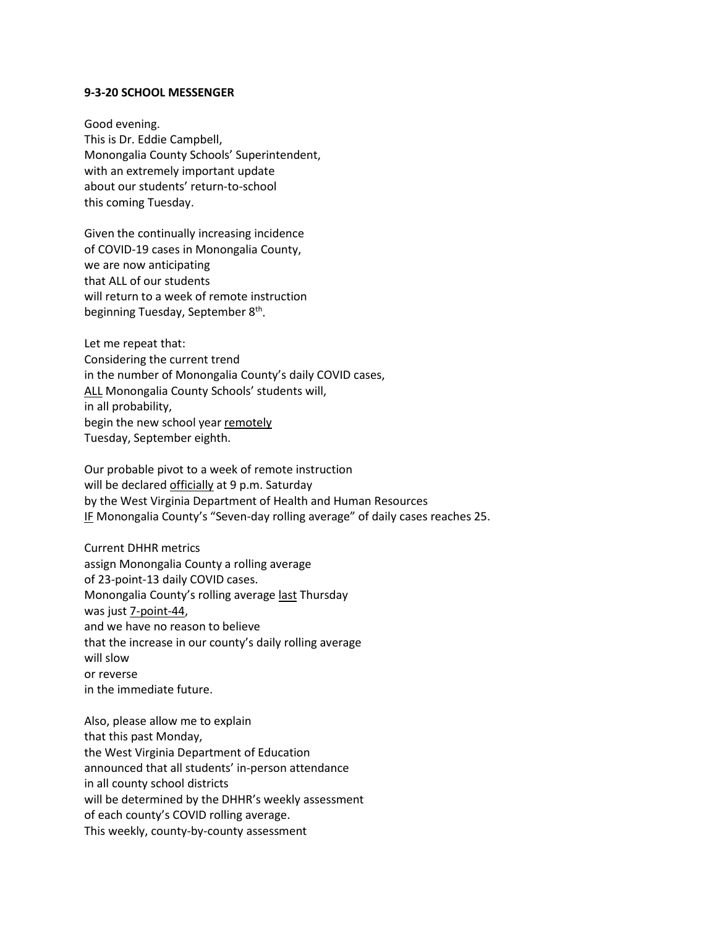## **9-3-20 SCHOOL MESSENGER**

Good evening. This is Dr. Eddie Campbell, Monongalia County Schools' Superintendent, with an extremely important update about our students' return-to-school this coming Tuesday.

Given the continually increasing incidence of COVID-19 cases in Monongalia County, we are now anticipating that ALL of our students will return to a week of remote instruction beginning Tuesday, September 8<sup>th</sup>.

Let me repeat that: Considering the current trend in the number of Monongalia County's daily COVID cases, ALL Monongalia County Schools' students will, in all probability, begin the new school year remotely Tuesday, September eighth.

Our probable pivot to a week of remote instruction will be declared officially at 9 p.m. Saturday by the West Virginia Department of Health and Human Resources IF Monongalia County's "Seven-day rolling average" of daily cases reaches 25.

Current DHHR metrics assign Monongalia County a rolling average of 23-point-13 daily COVID cases. Monongalia County's rolling average last Thursday was just 7-point-44, and we have no reason to believe that the increase in our county's daily rolling average will slow or reverse in the immediate future.

Also, please allow me to explain that this past Monday, the West Virginia Department of Education announced that all students' in-person attendance in all county school districts will be determined by the DHHR's weekly assessment of each county's COVID rolling average. This weekly, county-by-county assessment